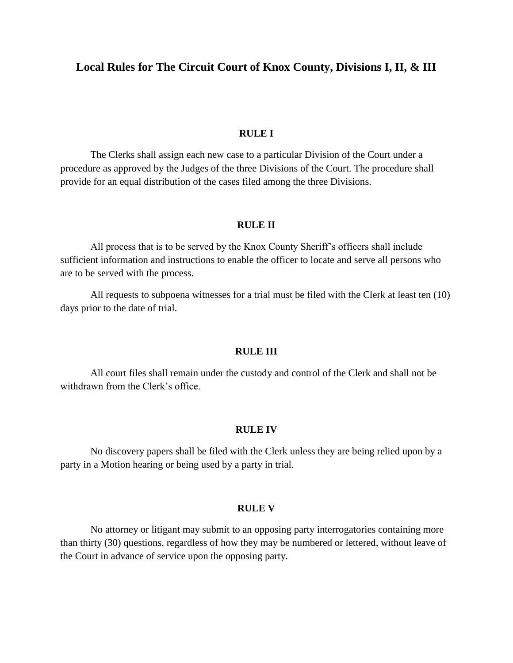# **Local Rules for The Circuit Court of Knox County, Divisions I, II, & III**

## **RULE I**

The Clerks shall assign each new case to a particular Division of the Court under a procedure as approved by the Judges of the three Divisions of the Court. The procedure shall provide for an equal distribution of the cases filed among the three Divisions.

## **RULE II**

All process that is to be served by the Knox County Sheriff's officers shall include sufficient information and instructions to enable the officer to locate and serve all persons who are to be served with the process.

All requests to subpoena witnesses for a trial must be filed with the Clerk at least ten (10) days prior to the date of trial.

#### **RULE III**

All court files shall remain under the custody and control of the Clerk and shall not be withdrawn from the Clerk's office.

### **RULE IV**

No discovery papers shall be filed with the Clerk unless they are being relied upon by a party in a Motion hearing or being used by a party in trial.

## **RULE V**

No attorney or litigant may submit to an opposing party interrogatories containing more than thirty (30) questions, regardless of how they may be numbered or lettered, without leave of the Court in advance of service upon the opposing party.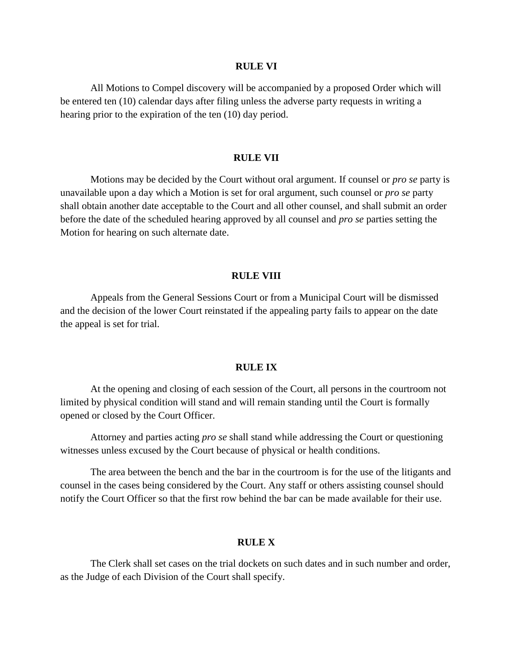#### **RULE VI**

All Motions to Compel discovery will be accompanied by a proposed Order which will be entered ten (10) calendar days after filing unless the adverse party requests in writing a hearing prior to the expiration of the ten (10) day period.

#### **RULE VII**

Motions may be decided by the Court without oral argument. If counsel or *pro se* party is unavailable upon a day which a Motion is set for oral argument, such counsel or *pro se* party shall obtain another date acceptable to the Court and all other counsel, and shall submit an order before the date of the scheduled hearing approved by all counsel and *pro se* parties setting the Motion for hearing on such alternate date.

#### **RULE VIII**

Appeals from the General Sessions Court or from a Municipal Court will be dismissed and the decision of the lower Court reinstated if the appealing party fails to appear on the date the appeal is set for trial.

### **RULE IX**

At the opening and closing of each session of the Court, all persons in the courtroom not limited by physical condition will stand and will remain standing until the Court is formally opened or closed by the Court Officer.

Attorney and parties acting *pro se* shall stand while addressing the Court or questioning witnesses unless excused by the Court because of physical or health conditions.

The area between the bench and the bar in the courtroom is for the use of the litigants and counsel in the cases being considered by the Court. Any staff or others assisting counsel should notify the Court Officer so that the first row behind the bar can be made available for their use.

# **RULE X**

The Clerk shall set cases on the trial dockets on such dates and in such number and order, as the Judge of each Division of the Court shall specify.